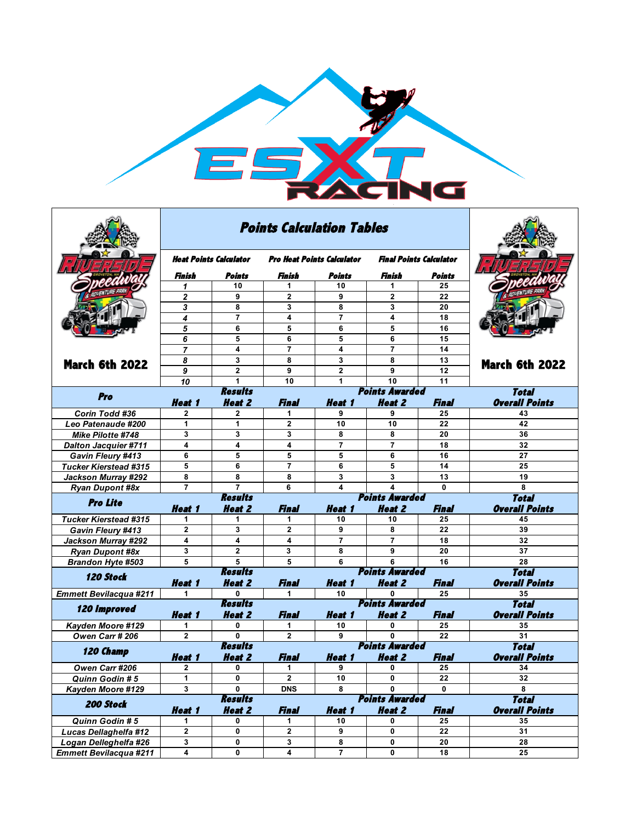

|                                                        |                        | <b>Points Calculation Tables</b> |                                   |                |                                        |              |                                       |
|--------------------------------------------------------|------------------------|----------------------------------|-----------------------------------|----------------|----------------------------------------|--------------|---------------------------------------|
|                                                        | Heat Points Calculator |                                  | <b>Pro Heat Points Calculator</b> |                | <b>Final Points Calculator</b>         |              |                                       |
|                                                        | Finish                 | Points                           | Finish                            | Points         | Finish                                 | Points       |                                       |
|                                                        | $\mathbf{1}$           | 10                               | 1                                 | 10             | 1                                      | 25           |                                       |
|                                                        | $\mathbf{2}$           | 9                                | $\mathbf{2}$                      | 9              | $\overline{2}$                         | 22           |                                       |
|                                                        | 3                      | 8                                | 3                                 | 8              | 3                                      | 20           |                                       |
|                                                        | 4                      | $\overline{7}$                   | 4                                 | $\overline{7}$ | 4                                      | 18           |                                       |
|                                                        | 5                      | 6                                | 5                                 | 6              | 5                                      | 16           |                                       |
|                                                        | 6                      | 5                                | 6                                 | 5              | 6                                      | 15           |                                       |
|                                                        | $\overline{7}$         | 4                                | $\overline{7}$                    | 4              | $\overline{7}$                         | 14           |                                       |
| <b>March 6th 2022</b>                                  | 8                      | 3                                | 8                                 | 3              | 8                                      | 13           | <b>March 6th 2022</b>                 |
|                                                        | 9                      | $\overline{2}$                   | 9                                 | $\mathbf{2}$   | 9                                      | 12           |                                       |
|                                                        | 10                     | 1                                | 10                                | 1              | 10                                     | 11           |                                       |
| Pro                                                    |                        | <b>Results</b>                   | Total                             |                |                                        |              |                                       |
|                                                        | <b>Heat 1</b>          | <b>Heat 2</b>                    | <b>Final</b>                      | <b>Heat 1</b>  | <b>Heat 2</b>                          | Final        | <b>Overall Points</b>                 |
| Corin Todd #36                                         | 2                      | 2                                | 1                                 | 9              | 9                                      | 25           | 43                                    |
| Leo Patenaude #200                                     | 1                      | 1                                | $\mathbf{2}$                      | 10             | 10                                     | 22           | 42                                    |
| Mike Pilotte #748                                      | 3                      | 3                                | 3                                 | 8              | 8                                      | 20           | 36                                    |
| <b>Dalton Jacquier #711</b>                            | 4                      | 4                                | 4                                 | 7              | 7                                      | 18           | 32                                    |
| <b>Gavin Fleury #413</b>                               | 6                      | 5                                | 5                                 | 5              | 6                                      | 16           | 27                                    |
| <b>Tucker Kierstead #315</b>                           | 5                      | 6                                | $\overline{7}$                    | 6              | 5                                      | 14           | 25                                    |
| Jackson Murray #292                                    | 8                      | 8                                | 8                                 | 3              | 3                                      | 13           | 19                                    |
|                                                        |                        |                                  |                                   |                |                                        |              |                                       |
| <b>Ryan Dupont #8x</b>                                 | $\overline{7}$         | $\overline{7}$                   | 6                                 | 4              | 4                                      | 0            | 8                                     |
|                                                        |                        | <b>Results</b>                   |                                   |                | <b>Points Awarded</b>                  |              | <b>Total</b>                          |
| <b>Pro Lite</b>                                        | <b>Heat 1</b>          | <b>Heat 2</b>                    | <b>Final</b>                      | Heat 1         | <b>Heat 2</b>                          | <b>Final</b> | <b>Overall Points</b>                 |
| <b>Tucker Kierstead #315</b>                           | 1                      | 1                                | 1                                 | 10             | 10                                     | 25           | 45                                    |
| <b>Gavin Fleury #413</b>                               | $\mathbf{2}$           | 3                                | $\mathbf{2}$                      | 9              | 8                                      | 22           | 39                                    |
| Jackson Murray #292                                    | 4                      | 4                                | 4                                 | $\overline{7}$ | $\overline{7}$                         | 18           | 32                                    |
| <b>Ryan Dupont #8x</b>                                 | 3                      | $\overline{\mathbf{2}}$          | 3                                 | 8              | 9                                      | 20           | 37                                    |
| <b>Brandon Hyte #503</b>                               | 5                      | 5                                | 5                                 | 6              | 6                                      | 16           | 28                                    |
| <b>120 Stock</b>                                       |                        | <b>Results</b>                   |                                   |                | <b>Points Awarded</b>                  |              | <b>Total</b>                          |
|                                                        | <b>Heat 1</b>          | <b>Heat 2</b>                    | <b>Final</b>                      | <b>Heat 1</b>  | <b>Heat 2</b>                          | <b>Final</b> | <b>Overall Points</b>                 |
| <b>Emmett Bevilacqua #211</b>                          | 1                      | 0                                | 1                                 | 10             | 0                                      | 25           | 35                                    |
| <b>120 Improved</b>                                    |                        | <b>Results</b>                   |                                   |                | <b>Points Awarded</b>                  |              | <b>Total</b>                          |
|                                                        | <b>Heat 1</b>          | <b>Heat 2</b>                    | <b>Final</b>                      | <b>Heat 1</b>  | <b>Heat 2</b>                          | <b>Final</b> | <b>Overall Points</b>                 |
| Kayden Moore #129                                      | 1                      | 0                                | 1                                 | 10             | 0                                      | 25           | 35                                    |
| Owen Carr # 206                                        | $\mathbf{2}$           | $\mathbf{0}$                     | $\mathbf{2}$                      | 9              | 0                                      | 22           | 31                                    |
| 120 Champ                                              |                        | <b>Results</b>                   |                                   |                | <b>Points Awarded</b>                  |              | <b>Total</b>                          |
|                                                        | <b>Heat 1</b>          | <b>Heat 2</b>                    | Final                             | <b>Heat 1</b>  | <b>Heat 2</b>                          | Final        | <b>Overall Points</b>                 |
| Owen Carr #206                                         | 2                      | 0                                | 1                                 | 9              | 0                                      | 25           | 34                                    |
| Quinn Godin # 5                                        | 1                      | $\mathbf 0$                      | $\mathbf 2$                       | 10             | 0                                      | 22           | 32                                    |
| Kayden Moore #129                                      | 3                      | 0                                | <b>DNS</b>                        | 8              | 0                                      | $\mathbf{0}$ | 8                                     |
| 200 Stock                                              | Heat 1                 | <b>Results</b><br><b>Heat 2</b>  | <b>Final</b>                      | <b>Heat 1</b>  | <b>Points Awarded</b><br><b>Heat 2</b> | <b>Final</b> | <b>Total</b><br><b>Overall Points</b> |
| Quinn Godin #5                                         | 1                      | 0                                | 1                                 | 10             | 0                                      | 25           | 35                                    |
| Lucas Dellaghelfa #12                                  | 2                      | 0                                | 2                                 | 9              | 0                                      | 22           | 31                                    |
| Logan Delleghelfa #26<br><b>Emmett Bevilacqua #211</b> | 3                      | 0                                | $\mathbf{3}$                      | 8              | 0                                      | 20           | 28                                    |